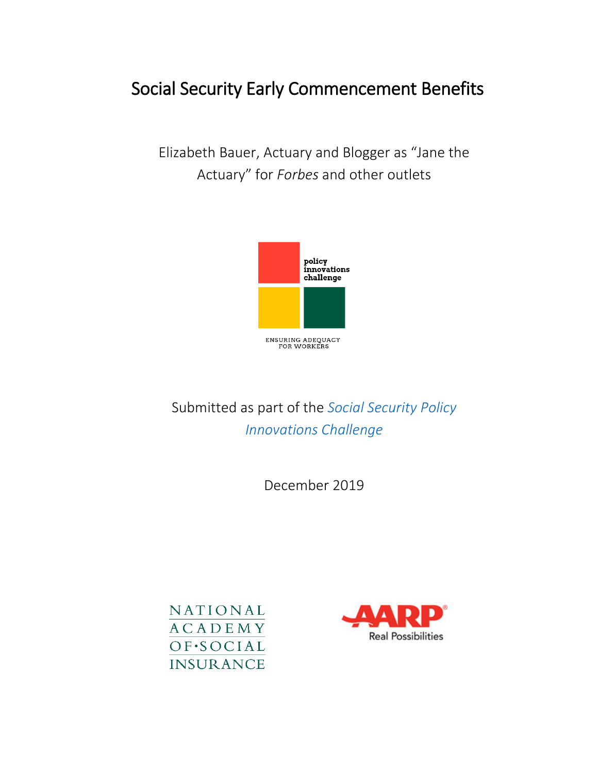# Social Security Early Commencement Benefits

Elizabeth Bauer, Actuary and Blogger as "Jane the Actuary" for *Forbes* and other outlets



# Submitted as part of the *[Social Security Policy](https://www.nasi.org/research/2019/ensuring-social-security-adequacy-workers-four-innovative)  [Innovations Challenge](https://www.nasi.org/research/2019/ensuring-social-security-adequacy-workers-four-innovative)*

December 2019



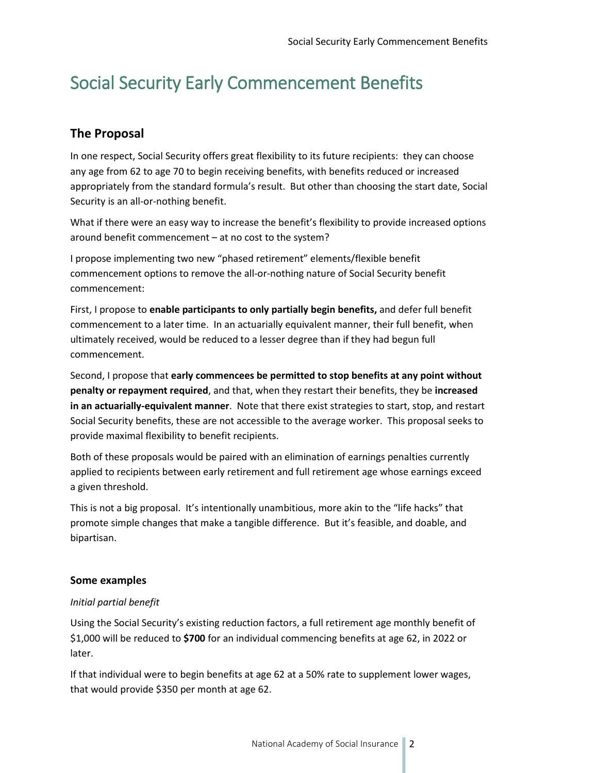# Social Security Early Commencement Benefits

# **The Proposal**

In one respect, Social Security offers great flexibility to its future recipients: they can choose any age from 62 to age 70 to begin receiving benefits, with benefits reduced or increased appropriately from the standard formula's result. But other than choosing the start date, Social Security is an all-or-nothing benefit.

What if there were an easy way to increase the benefit's flexibility to provide increased options around benefit commencement – at no cost to the system?

I propose implementing two new "phased retirement" elements/flexible benefit commencement options to remove the all-or-nothing nature of Social Security benefit commencement:

First, I propose to **enable participants to only partially begin benefits,** and defer full benefit commencement to a later time. In an actuarially equivalent manner, their full benefit, when ultimately received, would be reduced to a lesser degree than if they had begun full commencement.

Second, I propose that **early commencees be permitted to stop benefits at any point without penalty or repayment required**, and that, when they restart their benefits, they be **increased in an actuarially-equivalent manner**. Note that there exist strategies to start, stop, and restart Social Security benefits, these are not accessible to the average worker. This proposal seeks to provide maximal flexibility to benefit recipients.

Both of these proposals would be paired with an elimination of earnings penalties currently applied to recipients between early retirement and full retirement age whose earnings exceed a given threshold.

This is not a big proposal. It's intentionally unambitious, more akin to the "life hacks" that promote simple changes that make a tangible difference. But it's feasible, and doable, and bipartisan.

### **Some examples**

### *Initial partial benefit*

Using the Social Security's existing reduction factors, a full retirement age monthly benefit of \$1,000 will be reduced to **\$700** for an individual commencing benefits at age 62, in 2022 or later.

If that individual were to begin benefits at age 62 at a 50% rate to supplement lower wages, that would provide \$350 per month at age 62.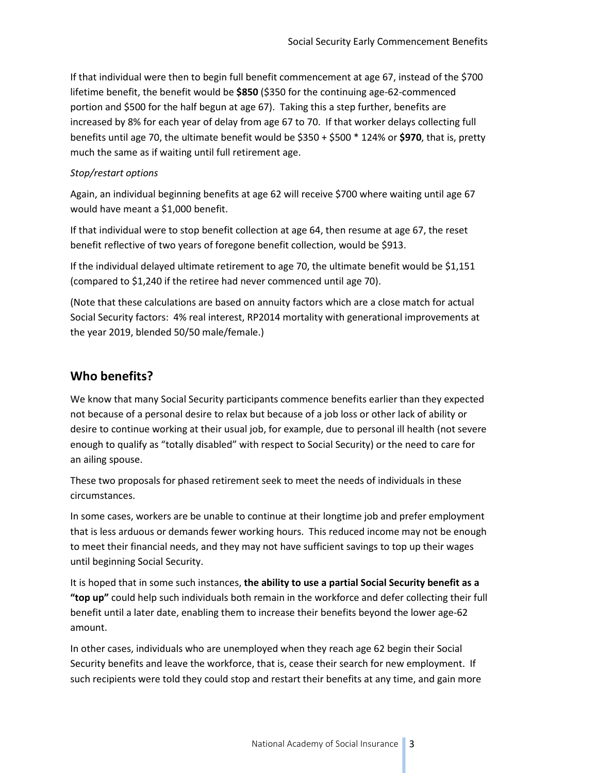If that individual were then to begin full benefit commencement at age 67, instead of the \$700 lifetime benefit, the benefit would be **\$850** (\$350 for the continuing age-62-commenced portion and \$500 for the half begun at age 67). Taking this a step further, benefits are increased by 8% for each year of delay from age 67 to 70. If that worker delays collecting full benefits until age 70, the ultimate benefit would be \$350 + \$500 \* 124% or **\$970**, that is, pretty much the same as if waiting until full retirement age.

#### *Stop/restart options*

Again, an individual beginning benefits at age 62 will receive \$700 where waiting until age 67 would have meant a \$1,000 benefit.

If that individual were to stop benefit collection at age 64, then resume at age 67, the reset benefit reflective of two years of foregone benefit collection, would be \$913.

If the individual delayed ultimate retirement to age 70, the ultimate benefit would be \$1,151 (compared to \$1,240 if the retiree had never commenced until age 70).

(Note that these calculations are based on annuity factors which are a close match for actual Social Security factors: 4% real interest, RP2014 mortality with generational improvements at the year 2019, blended 50/50 male/female.)

## **Who benefits?**

We know that many Social Security participants commence benefits earlier than they expected not because of a personal desire to relax but because of a job loss or other lack of ability or desire to continue working at their usual job, for example, due to personal ill health (not severe enough to qualify as "totally disabled" with respect to Social Security) or the need to care for an ailing spouse.

These two proposals for phased retirement seek to meet the needs of individuals in these circumstances.

In some cases, workers are be unable to continue at their longtime job and prefer employment that is less arduous or demands fewer working hours. This reduced income may not be enough to meet their financial needs, and they may not have sufficient savings to top up their wages until beginning Social Security.

It is hoped that in some such instances, **the ability to use a partial Social Security benefit as a "top up"** could help such individuals both remain in the workforce and defer collecting their full benefit until a later date, enabling them to increase their benefits beyond the lower age-62 amount.

In other cases, individuals who are unemployed when they reach age 62 begin their Social Security benefits and leave the workforce, that is, cease their search for new employment. If such recipients were told they could stop and restart their benefits at any time, and gain more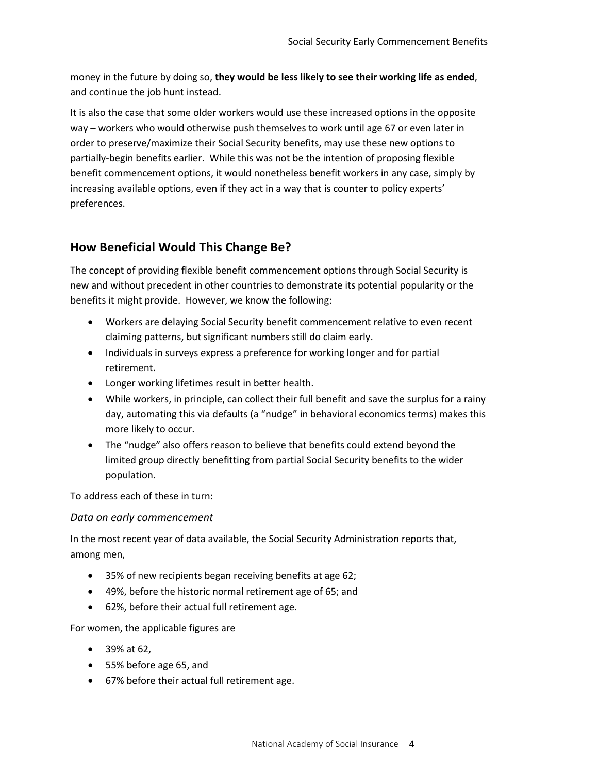money in the future by doing so, **they would be less likely to see their working life as ended**, and continue the job hunt instead.

It is also the case that some older workers would use these increased options in the opposite way – workers who would otherwise push themselves to work until age 67 or even later in order to preserve/maximize their Social Security benefits, may use these new options to partially-begin benefits earlier. While this was not be the intention of proposing flexible benefit commencement options, it would nonetheless benefit workers in any case, simply by increasing available options, even if they act in a way that is counter to policy experts' preferences.

## **How Beneficial Would This Change Be?**

The concept of providing flexible benefit commencement options through Social Security is new and without precedent in other countries to demonstrate its potential popularity or the benefits it might provide. However, we know the following:

- Workers are delaying Social Security benefit commencement relative to even recent claiming patterns, but significant numbers still do claim early.
- Individuals in surveys express a preference for working longer and for partial retirement.
- Longer working lifetimes result in better health.
- While workers, in principle, can collect their full benefit and save the surplus for a rainy day, automating this via defaults (a "nudge" in behavioral economics terms) makes this more likely to occur.
- The "nudge" also offers reason to believe that benefits could extend beyond the limited group directly benefitting from partial Social Security benefits to the wider population.

To address each of these in turn:

## *Data on early commencement*

In the most recent year of data available, the Social Security Administration reports that, among men,

- 35% of new recipients began receiving benefits at age 62;
- 49%, before the historic normal retirement age of 65; and
- 62%, before their actual full retirement age.

For women, the applicable figures are

- 39% at 62,
- 55% before age 65, and
- 67% before their actual full retirement age.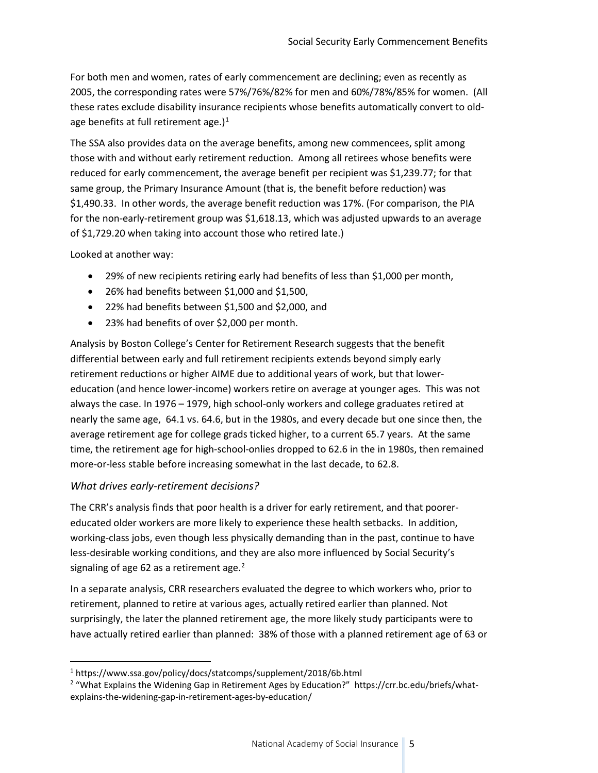For both men and women, rates of early commencement are declining; even as recently as 2005, the corresponding rates were 57%/76%/82% for men and 60%/78%/85% for women. (All these rates exclude disability insurance recipients whose benefits automatically convert to oldage benefits at full retirement age.) $<sup>1</sup>$  $<sup>1</sup>$  $<sup>1</sup>$ </sup>

The SSA also provides data on the average benefits, among new commencees, split among those with and without early retirement reduction. Among all retirees whose benefits were reduced for early commencement, the average benefit per recipient was \$1,239.77; for that same group, the Primary Insurance Amount (that is, the benefit before reduction) was \$1,490.33. In other words, the average benefit reduction was 17%. (For comparison, the PIA for the non-early-retirement group was \$1,618.13, which was adjusted upwards to an average of \$1,729.20 when taking into account those who retired late.)

Looked at another way:

- 29% of new recipients retiring early had benefits of less than \$1,000 per month,
- 26% had benefits between \$1,000 and \$1,500,
- 22% had benefits between \$1,500 and \$2,000, and
- 23% had benefits of over \$2,000 per month.

Analysis by Boston College's Center for Retirement Research suggests that the benefit differential between early and full retirement recipients extends beyond simply early retirement reductions or higher AIME due to additional years of work, but that lowereducation (and hence lower-income) workers retire on average at younger ages. This was not always the case. In 1976 – 1979, high school-only workers and college graduates retired at nearly the same age, 64.1 vs. 64.6, but in the 1980s, and every decade but one since then, the average retirement age for college grads ticked higher, to a current 65.7 years. At the same time, the retirement age for high-school-onlies dropped to 62.6 in the in 1980s, then remained more-or-less stable before increasing somewhat in the last decade, to 62.8.

#### *What drives early-retirement decisions?*

The CRR's analysis finds that poor health is a driver for early retirement, and that poorereducated older workers are more likely to experience these health setbacks. In addition, working-class jobs, even though less physically demanding than in the past, continue to have less-desirable working conditions, and they are also more influenced by Social Security's signaling of age 6[2](#page-4-1) as a retirement age. $2$ 

In a separate analysis, CRR researchers evaluated the degree to which workers who, prior to retirement, planned to retire at various ages, actually retired earlier than planned. Not surprisingly, the later the planned retirement age, the more likely study participants were to have actually retired earlier than planned: 38% of those with a planned retirement age of 63 or

<span id="page-4-0"></span> <sup>1</sup> https://www.ssa.gov/policy/docs/statcomps/supplement/2018/6b.html

<span id="page-4-1"></span><sup>&</sup>lt;sup>2</sup> "What Explains the Widening Gap in Retirement Ages by Education?" https://crr.bc.edu/briefs/whatexplains-the-widening-gap-in-retirement-ages-by-education/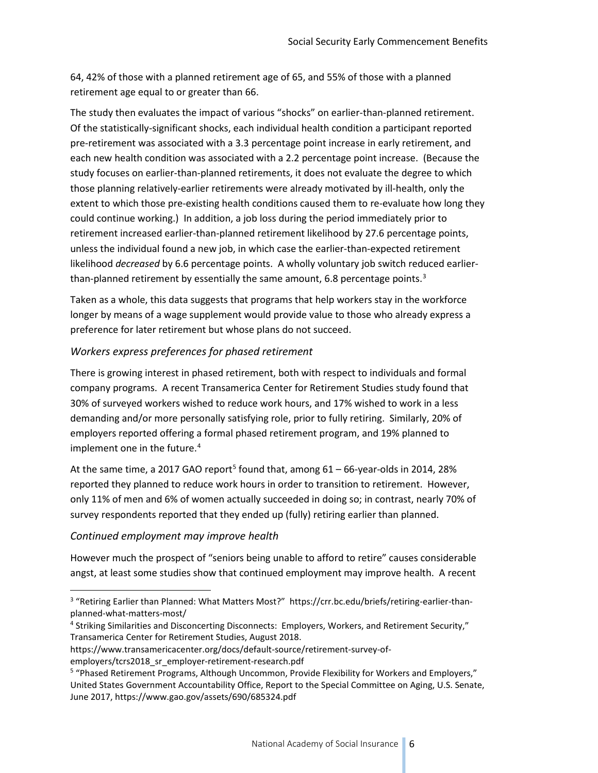64, 42% of those with a planned retirement age of 65, and 55% of those with a planned retirement age equal to or greater than 66.

The study then evaluates the impact of various "shocks" on earlier-than-planned retirement. Of the statistically-significant shocks, each individual health condition a participant reported pre-retirement was associated with a 3.3 percentage point increase in early retirement, and each new health condition was associated with a 2.2 percentage point increase. (Because the study focuses on earlier-than-planned retirements, it does not evaluate the degree to which those planning relatively-earlier retirements were already motivated by ill-health, only the extent to which those pre-existing health conditions caused them to re-evaluate how long they could continue working.) In addition, a job loss during the period immediately prior to retirement increased earlier-than-planned retirement likelihood by 27.6 percentage points, unless the individual found a new job, in which case the earlier-than-expected retirement likelihood *decreased* by 6.6 percentage points. A wholly voluntary job switch reduced earlier-than-planned retirement by essentially the same amount, 6.8 percentage points.<sup>[3](#page-5-0)</sup>

Taken as a whole, this data suggests that programs that help workers stay in the workforce longer by means of a wage supplement would provide value to those who already express a preference for later retirement but whose plans do not succeed.

## *Workers express preferences for phased retirement*

There is growing interest in phased retirement, both with respect to individuals and formal company programs. A recent Transamerica Center for Retirement Studies study found that 30% of surveyed workers wished to reduce work hours, and 17% wished to work in a less demanding and/or more personally satisfying role, prior to fully retiring. Similarly, 20% of employers reported offering a formal phased retirement program, and 19% planned to implement one in the future. $4$ 

At the same time, a 2017 GAO report<sup>5</sup> found that, among  $61 - 66$ -year-olds in 2014, 28% reported they planned to reduce work hours in order to transition to retirement. However, only 11% of men and 6% of women actually succeeded in doing so; in contrast, nearly 70% of survey respondents reported that they ended up (fully) retiring earlier than planned.

### *Continued employment may improve health*

However much the prospect of "seniors being unable to afford to retire" causes considerable angst, at least some studies show that continued employment may improve health. A recent

https://www.transamericacenter.org/docs/default-source/retirement-survey-of-

<span id="page-5-0"></span> <sup>3</sup> "Retiring Earlier than Planned: What Matters Most?" https://crr.bc.edu/briefs/retiring-earlier-thanplanned-what-matters-most/

<span id="page-5-1"></span><sup>4</sup> Striking Similarities and Disconcerting Disconnects: Employers, Workers, and Retirement Security," Transamerica Center for Retirement Studies, August 2018.

employers/tcrs2018\_sr\_employer-retirement-research.pdf

<span id="page-5-2"></span><sup>5</sup> "Phased Retirement Programs, Although Uncommon, Provide Flexibility for Workers and Employers," United States Government Accountability Office, Report to the Special Committee on Aging, U.S. Senate, June 2017, https://www.gao.gov/assets/690/685324.pdf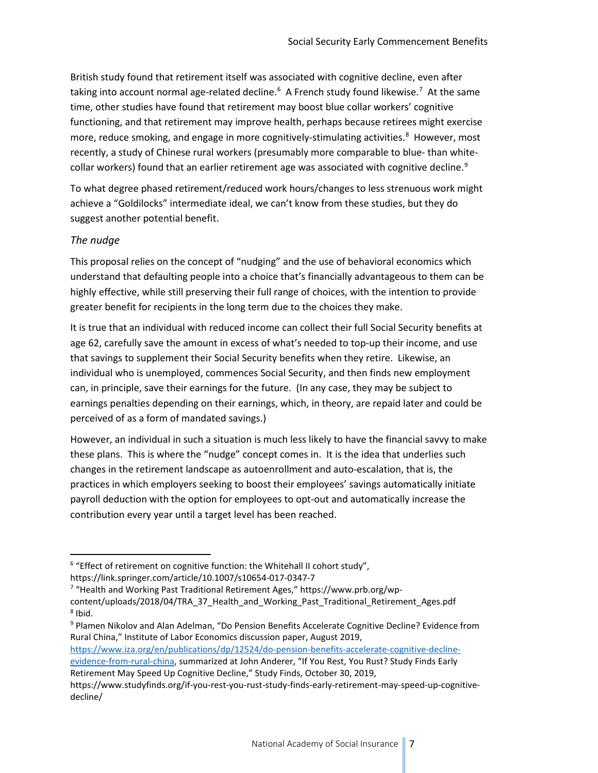British study found that retirement itself was associated with cognitive decline, even after taking into account normal age-related decline.<sup>[6](#page-6-0)</sup> A French study found likewise.<sup>7</sup> At the same time, other studies have found that retirement may boost blue collar workers' cognitive functioning, and that retirement may improve health, perhaps because retirees might exercise more, reduce smoking, and engage in more cognitively-stimulating activities.<sup>8</sup> However, most recently, a study of Chinese rural workers (presumably more comparable to blue- than white-collar workers) found that an earlier retirement age was associated with cognitive decline.<sup>[9](#page-6-3)</sup>

To what degree phased retirement/reduced work hours/changes to less strenuous work might achieve a "Goldilocks" intermediate ideal, we can't know from these studies, but they do suggest another potential benefit.

#### *The nudge*

This proposal relies on the concept of "nudging" and the use of behavioral economics which understand that defaulting people into a choice that's financially advantageous to them can be highly effective, while still preserving their full range of choices, with the intention to provide greater benefit for recipients in the long term due to the choices they make.

It is true that an individual with reduced income can collect their full Social Security benefits at age 62, carefully save the amount in excess of what's needed to top-up their income, and use that savings to supplement their Social Security benefits when they retire. Likewise, an individual who is unemployed, commences Social Security, and then finds new employment can, in principle, save their earnings for the future. (In any case, they may be subject to earnings penalties depending on their earnings, which, in theory, are repaid later and could be perceived of as a form of mandated savings.)

However, an individual in such a situation is much less likely to have the financial savvy to make these plans. This is where the "nudge" concept comes in. It is the idea that underlies such changes in the retirement landscape as autoenrollment and auto-escalation, that is, the practices in which employers seeking to boost their employees' savings automatically initiate payroll deduction with the option for employees to opt-out and automatically increase the contribution every year until a target level has been reached.

<span id="page-6-3"></span><span id="page-6-2"></span><sup>9</sup> Plamen Nikolov and Alan Adelman, "Do Pension Benefits Accelerate Cognitive Decline? Evidence from Rural China," Institute of Labor Economics discussion paper, August 2019,

[https://www.iza.org/en/publications/dp/12524/do-pension-benefits-accelerate-cognitive-decline-](https://www.iza.org/en/publications/dp/12524/do-pension-benefits-accelerate-cognitive-decline-evidence-from-rural-china)

<span id="page-6-0"></span> $6$  "Effect of retirement on cognitive function: the Whitehall II cohort study",

https://link.springer.com/article/10.1007/s10654-017-0347-7

<span id="page-6-1"></span><sup>7</sup> "Health and Working Past Traditional Retirement Ages," https://www.prb.org/wpcontent/uploads/2018/04/TRA\_37\_Health\_and\_Working\_Past\_Traditional\_Retirement\_Ages.pdf  $8$  Ibid.

[evidence-from-rural-china,](https://www.iza.org/en/publications/dp/12524/do-pension-benefits-accelerate-cognitive-decline-evidence-from-rural-china) summarized at John Anderer, "If You Rest, You Rust? Study Finds Early Retirement May Speed Up Cognitive Decline," Study Finds, October 30, 2019,

https://www.studyfinds.org/if-you-rest-you-rust-study-finds-early-retirement-may-speed-up-cognitivedecline/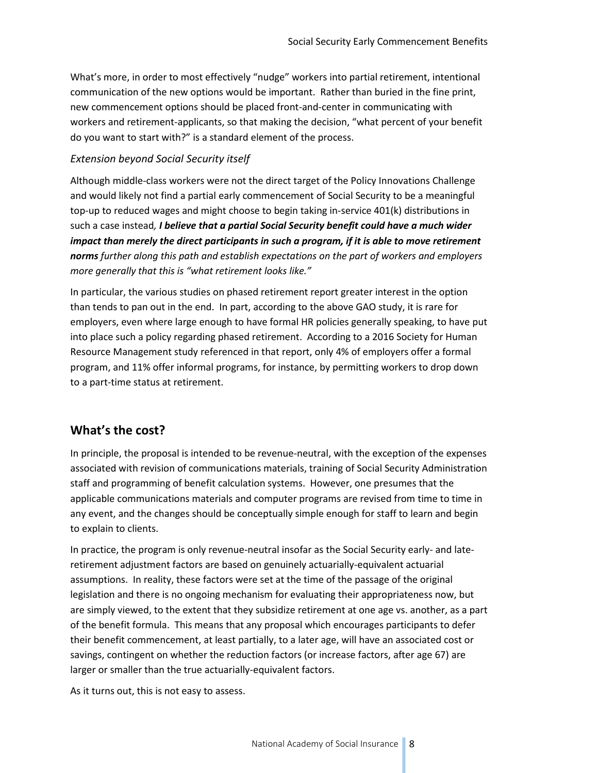What's more, in order to most effectively "nudge" workers into partial retirement, intentional communication of the new options would be important. Rather than buried in the fine print, new commencement options should be placed front-and-center in communicating with workers and retirement-applicants, so that making the decision, "what percent of your benefit do you want to start with?" is a standard element of the process.

#### *Extension beyond Social Security itself*

Although middle-class workers were not the direct target of the Policy Innovations Challenge and would likely not find a partial early commencement of Social Security to be a meaningful top-up to reduced wages and might choose to begin taking in-service 401(k) distributions in such a case instead*, I believe that a partial Social Security benefit could have a much wider impact than merely the direct participants in such a program, if it is able to move retirement norms further along this path and establish expectations on the part of workers and employers more generally that this is "what retirement looks like."*

In particular, the various studies on phased retirement report greater interest in the option than tends to pan out in the end. In part, according to the above GAO study, it is rare for employers, even where large enough to have formal HR policies generally speaking, to have put into place such a policy regarding phased retirement. According to a 2016 Society for Human Resource Management study referenced in that report, only 4% of employers offer a formal program, and 11% offer informal programs, for instance, by permitting workers to drop down to a part-time status at retirement.

## **What's the cost?**

In principle, the proposal is intended to be revenue-neutral, with the exception of the expenses associated with revision of communications materials, training of Social Security Administration staff and programming of benefit calculation systems. However, one presumes that the applicable communications materials and computer programs are revised from time to time in any event, and the changes should be conceptually simple enough for staff to learn and begin to explain to clients.

In practice, the program is only revenue-neutral insofar as the Social Security early- and lateretirement adjustment factors are based on genuinely actuarially-equivalent actuarial assumptions. In reality, these factors were set at the time of the passage of the original legislation and there is no ongoing mechanism for evaluating their appropriateness now, but are simply viewed, to the extent that they subsidize retirement at one age vs. another, as a part of the benefit formula. This means that any proposal which encourages participants to defer their benefit commencement, at least partially, to a later age, will have an associated cost or savings, contingent on whether the reduction factors (or increase factors, after age 67) are larger or smaller than the true actuarially-equivalent factors.

As it turns out, this is not easy to assess.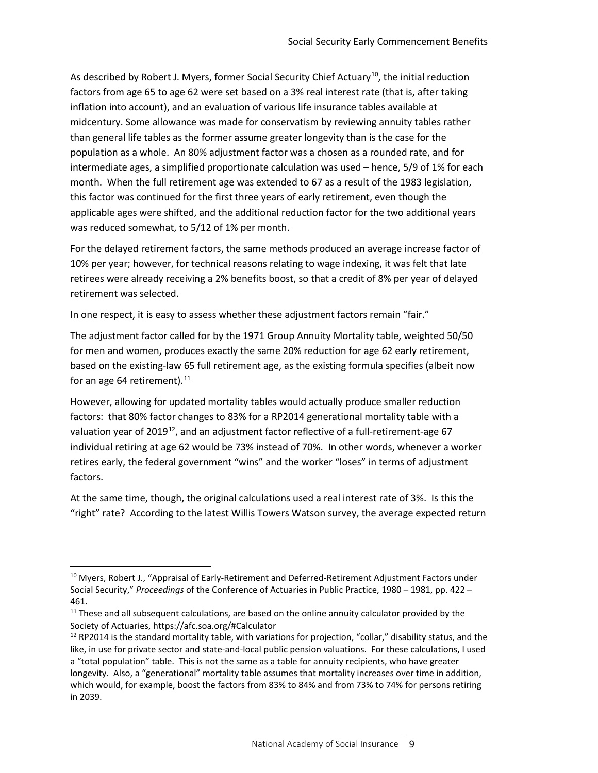As described by Robert J. Myers, former Social Security Chief Actuary<sup>[10](#page-8-0)</sup>, the initial reduction factors from age 65 to age 62 were set based on a 3% real interest rate (that is, after taking inflation into account), and an evaluation of various life insurance tables available at midcentury. Some allowance was made for conservatism by reviewing annuity tables rather than general life tables as the former assume greater longevity than is the case for the population as a whole. An 80% adjustment factor was a chosen as a rounded rate, and for intermediate ages, a simplified proportionate calculation was used – hence, 5/9 of 1% for each month. When the full retirement age was extended to 67 as a result of the 1983 legislation, this factor was continued for the first three years of early retirement, even though the applicable ages were shifted, and the additional reduction factor for the two additional years was reduced somewhat, to 5/12 of 1% per month.

For the delayed retirement factors, the same methods produced an average increase factor of 10% per year; however, for technical reasons relating to wage indexing, it was felt that late retirees were already receiving a 2% benefits boost, so that a credit of 8% per year of delayed retirement was selected.

In one respect, it is easy to assess whether these adjustment factors remain "fair."

The adjustment factor called for by the 1971 Group Annuity Mortality table, weighted 50/50 for men and women, produces exactly the same 20% reduction for age 62 early retirement, based on the existing-law 65 full retirement age, as the existing formula specifies (albeit now for an age 64 retirement). $11$ 

However, allowing for updated mortality tables would actually produce smaller reduction factors: that 80% factor changes to 83% for a RP2014 generational mortality table with a valuation year of 2019<sup>12</sup>, and an adjustment factor reflective of a full-retirement-age 67 individual retiring at age 62 would be 73% instead of 70%. In other words, whenever a worker retires early, the federal government "wins" and the worker "loses" in terms of adjustment factors.

At the same time, though, the original calculations used a real interest rate of 3%. Is this the "right" rate? According to the latest Willis Towers Watson survey, the average expected return

<span id="page-8-0"></span><sup>&</sup>lt;sup>10</sup> Myers, Robert J., "Appraisal of Early-Retirement and Deferred-Retirement Adjustment Factors under Social Security," *Proceedings* of the Conference of Actuaries in Public Practice, 1980 – 1981, pp. 422 – 461.

<span id="page-8-1"></span> $11$  These and all subsequent calculations, are based on the online annuity calculator provided by the Society of Actuaries, https://afc.soa.org/#Calculator

<span id="page-8-2"></span> $12$  RP2014 is the standard mortality table, with variations for projection, "collar," disability status, and the like, in use for private sector and state-and-local public pension valuations. For these calculations, I used a "total population" table. This is not the same as a table for annuity recipients, who have greater longevity. Also, a "generational" mortality table assumes that mortality increases over time in addition, which would, for example, boost the factors from 83% to 84% and from 73% to 74% for persons retiring in 2039.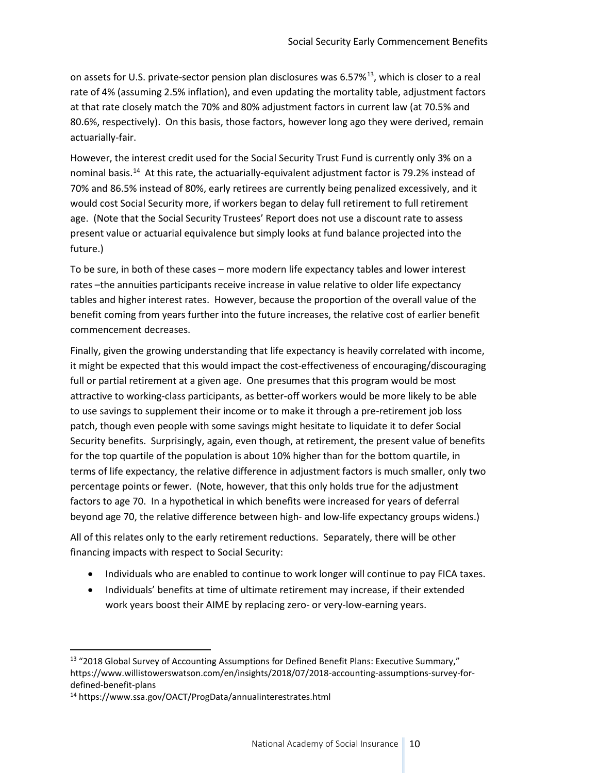on assets for U.S. private-sector pension plan disclosures was 6.57%<sup>13</sup>, which is closer to a real rate of 4% (assuming 2.5% inflation), and even updating the mortality table, adjustment factors at that rate closely match the 70% and 80% adjustment factors in current law (at 70.5% and 80.6%, respectively). On this basis, those factors, however long ago they were derived, remain actuarially-fair.

However, the interest credit used for the Social Security Trust Fund is currently only 3% on a nominal basis.<sup>[14](#page-9-1)</sup> At this rate, the actuarially-equivalent adjustment factor is 79.2% instead of 70% and 86.5% instead of 80%, early retirees are currently being penalized excessively, and it would cost Social Security more, if workers began to delay full retirement to full retirement age. (Note that the Social Security Trustees' Report does not use a discount rate to assess present value or actuarial equivalence but simply looks at fund balance projected into the future.)

To be sure, in both of these cases – more modern life expectancy tables and lower interest rates –the annuities participants receive increase in value relative to older life expectancy tables and higher interest rates. However, because the proportion of the overall value of the benefit coming from years further into the future increases, the relative cost of earlier benefit commencement decreases.

Finally, given the growing understanding that life expectancy is heavily correlated with income, it might be expected that this would impact the cost-effectiveness of encouraging/discouraging full or partial retirement at a given age. One presumes that this program would be most attractive to working-class participants, as better-off workers would be more likely to be able to use savings to supplement their income or to make it through a pre-retirement job loss patch, though even people with some savings might hesitate to liquidate it to defer Social Security benefits. Surprisingly, again, even though, at retirement, the present value of benefits for the top quartile of the population is about 10% higher than for the bottom quartile, in terms of life expectancy, the relative difference in adjustment factors is much smaller, only two percentage points or fewer. (Note, however, that this only holds true for the adjustment factors to age 70. In a hypothetical in which benefits were increased for years of deferral beyond age 70, the relative difference between high- and low-life expectancy groups widens.)

All of this relates only to the early retirement reductions. Separately, there will be other financing impacts with respect to Social Security:

- Individuals who are enabled to continue to work longer will continue to pay FICA taxes.
- Individuals' benefits at time of ultimate retirement may increase, if their extended work years boost their AIME by replacing zero- or very-low-earning years.

<span id="page-9-0"></span><sup>&</sup>lt;sup>13</sup> "2018 Global Survey of Accounting Assumptions for Defined Benefit Plans: Executive Summary," https://www.willistowerswatson.com/en/insights/2018/07/2018-accounting-assumptions-survey-fordefined-benefit-plans

<span id="page-9-1"></span><sup>14</sup> <https://www.ssa.gov/OACT/ProgData/annualinterestrates.html>